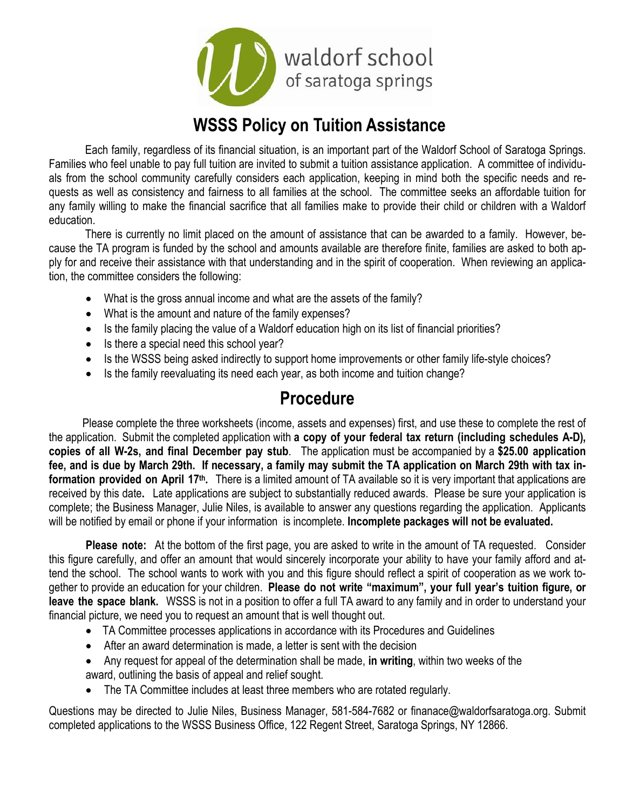

# WSSS Policy on Tuition Assistance

Each family, regardless of its financial situation, is an important part of the Waldorf School of Saratoga Springs. Families who feel unable to pay full tuition are invited to submit a tuition assistance application. A committee of individuals from the school community carefully considers each application, keeping in mind both the specific needs and requests as well as consistency and fairness to all families at the school. The committee seeks an affordable tuition for any family willing to make the financial sacrifice that all families make to provide their child or children with a Waldorf education.

There is currently no limit placed on the amount of assistance that can be awarded to a family. However, because the TA program is funded by the school and amounts available are therefore finite, families are asked to both apply for and receive their assistance with that understanding and in the spirit of cooperation. When reviewing an application, the committee considers the following:

- What is the gross annual income and what are the assets of the family?
- What is the amount and nature of the family expenses?
- Is the family placing the value of a Waldorf education high on its list of financial priorities?
- Is there a special need this school year?
- Is the WSSS being asked indirectly to support home improvements or other family life-style choices?
- Is the family reevaluating its need each year, as both income and tuition change?

## Procedure

 Please complete the three worksheets (income, assets and expenses) first, and use these to complete the rest of the application. Submit the completed application with a copy of your federal tax return (including schedules A-D), copies of all W-2s, and final December pay stub. The application must be accompanied by a \$25.00 application fee, and is due by March 29th. If necessary, a family may submit the TA application on March 29th with tax information provided on April 17<sup>th</sup>. There is a limited amount of TA available so it is very important that applications are received by this date. Late applications are subject to substantially reduced awards. Please be sure your application is complete; the Business Manager, Julie Niles, is available to answer any questions regarding the application. Applicants will be notified by email or phone if your information is incomplete. Incomplete packages will not be evaluated.

Please note: At the bottom of the first page, you are asked to write in the amount of TA requested. Consider this figure carefully, and offer an amount that would sincerely incorporate your ability to have your family afford and attend the school. The school wants to work with you and this figure should reflect a spirit of cooperation as we work together to provide an education for your children. Please do not write "maximum", your full year's tuition figure, or leave the space blank. WSSS is not in a position to offer a full TA award to any family and in order to understand your financial picture, we need you to request an amount that is well thought out.

- TA Committee processes applications in accordance with its Procedures and Guidelines
- After an award determination is made, a letter is sent with the decision
- Any request for appeal of the determination shall be made, in writing, within two weeks of the award, outlining the basis of appeal and relief sought.
- The TA Committee includes at least three members who are rotated regularly.

Questions may be directed to Julie Niles, Business Manager, 581-584-7682 or finanace@waldorfsaratoga.org. Submit completed applications to the WSSS Business Office, 122 Regent Street, Saratoga Springs, NY 12866.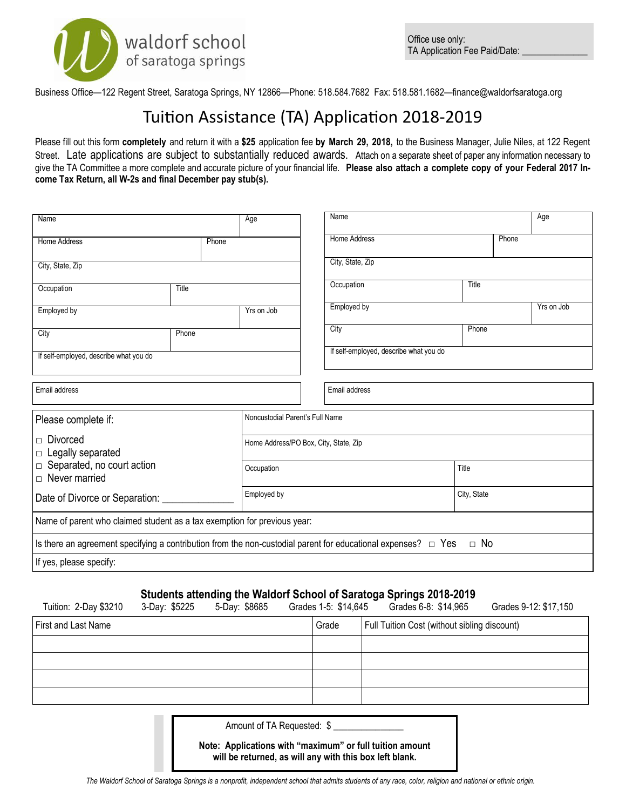

Business Office—122 Regent Street, Saratoga Springs, NY 12866—Phone: 518.584.7682 Fax: 518.581.1682—finance@waldorfsaratoga.org

# Tuition Assistance (TA) Application 2018-2019

Please fill out this form completely and return it with a \$25 application fee by March 29, 2018, to the Business Manager, Julie Niles, at 122 Regent Street. Late applications are subject to substantially reduced awards. Attach on a separate sheet of paper any information necessary to give the TA Committee a more complete and accurate picture of your financial life. Please also attach a complete copy of your Federal 2017 Income Tax Return, all W-2s and final December pay stub(s).

| Name                                                                                                               |       |             | Age                                   |  | Name                                   |  |           |       | Age        |
|--------------------------------------------------------------------------------------------------------------------|-------|-------------|---------------------------------------|--|----------------------------------------|--|-----------|-------|------------|
| Home Address                                                                                                       |       | Phone       |                                       |  | Home Address                           |  |           | Phone |            |
| City, State, Zip                                                                                                   |       |             |                                       |  | City, State, Zip                       |  |           |       |            |
| Occupation                                                                                                         | Title |             |                                       |  | Occupation                             |  | Title     |       |            |
| Employed by                                                                                                        |       |             | Yrs on Job                            |  | Employed by                            |  |           |       | Yrs on Job |
| City                                                                                                               | Phone |             |                                       |  | City                                   |  | Phone     |       |            |
| If self-employed, describe what you do                                                                             |       |             |                                       |  | If self-employed, describe what you do |  |           |       |            |
| Email address                                                                                                      |       |             |                                       |  | Email address                          |  |           |       |            |
|                                                                                                                    |       |             |                                       |  |                                        |  |           |       |            |
| Please complete if:                                                                                                |       |             | Noncustodial Parent's Full Name       |  |                                        |  |           |       |            |
| Divorced<br>$\Box$ Legally separated                                                                               |       |             | Home Address/PO Box, City, State, Zip |  |                                        |  |           |       |            |
| $\Box$ Separated, no court action<br>$\Box$ Never married                                                          |       |             | Occupation                            |  |                                        |  | Title     |       |            |
| Date of Divorce or Separation:                                                                                     |       | Employed by | City, State                           |  |                                        |  |           |       |            |
| Name of parent who claimed student as a tax exemption for previous year:                                           |       |             |                                       |  |                                        |  |           |       |            |
| Is there an agreement specifying a contribution from the non-custodial parent for educational expenses? $\Box$ Yes |       |             |                                       |  |                                        |  | $\Box$ No |       |            |
| If yes, please specify:                                                                                            |       |             |                                       |  |                                        |  |           |       |            |

### Students attending the Waldorf School of Saratoga Springs 2018-2019

| Tuition: 2-Day \$3210 | 3-Day: \$5225 | 5-Day: \$8685 | Grades 1-5: \$14,645 | Grades 6-8: \$14,965                         | Grades 9-12: \$17,150 |
|-----------------------|---------------|---------------|----------------------|----------------------------------------------|-----------------------|
| First and Last Name   |               |               | Grade                | Full Tuition Cost (without sibling discount) |                       |
|                       |               |               |                      |                                              |                       |
|                       |               |               |                      |                                              |                       |
|                       |               |               |                      |                                              |                       |
|                       |               |               |                      |                                              |                       |

Amount of TA Requested: \$

Note: Applications with "maximum" or full tuition amount will be returned, as will any with this box left blank.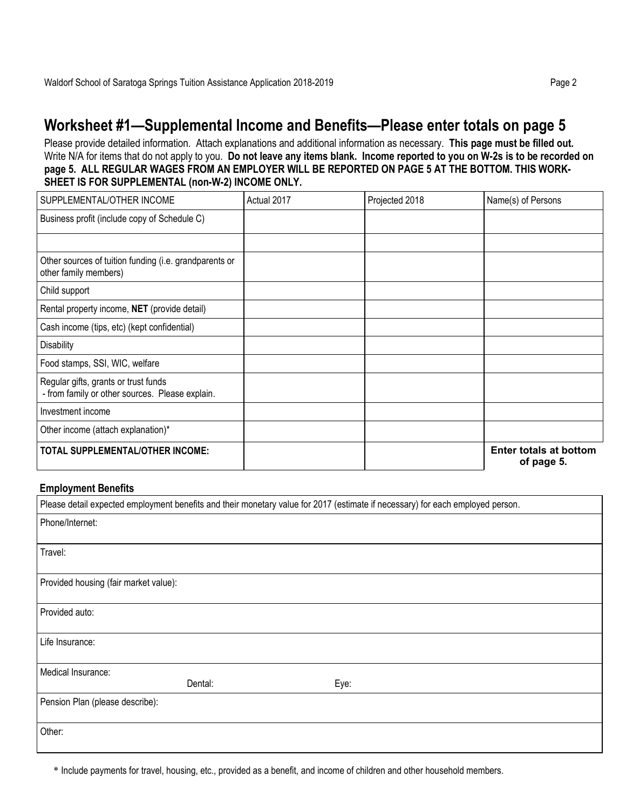## Worksheet #1—Supplemental Income and Benefits—Please enter totals on page 5

Please provide detailed information. Attach explanations and additional information as necessary. This page must be filled out. Write N/A for items that do not apply to you. Do not leave any items blank. Income reported to you on W-2s is to be recorded on page 5. ALL REGULAR WAGES FROM AN EMPLOYER WILL BE REPORTED ON PAGE 5 AT THE BOTTOM. THIS WORK-SHEET IS FOR SUPPLEMENTAL (non-W-2) INCOME ONLY.

| SUPPLEMENTAL/OTHER INCOME                                                               | Actual 2017 | Projected 2018 | Name(s) of Persons                          |
|-----------------------------------------------------------------------------------------|-------------|----------------|---------------------------------------------|
| Business profit (include copy of Schedule C)                                            |             |                |                                             |
|                                                                                         |             |                |                                             |
| Other sources of tuition funding (i.e. grandparents or<br>other family members)         |             |                |                                             |
| Child support                                                                           |             |                |                                             |
| Rental property income, NET (provide detail)                                            |             |                |                                             |
| Cash income (tips, etc) (kept confidential)                                             |             |                |                                             |
| <b>Disability</b>                                                                       |             |                |                                             |
| Food stamps, SSI, WIC, welfare                                                          |             |                |                                             |
| Regular gifts, grants or trust funds<br>- from family or other sources. Please explain. |             |                |                                             |
| Investment income                                                                       |             |                |                                             |
| Other income (attach explanation)*                                                      |             |                |                                             |
| <b>TOTAL SUPPLEMENTAL/OTHER INCOME:</b>                                                 |             |                | <b>Enter totals at bottom</b><br>of page 5. |

#### Employment Benefits

|                                       | Please detail expected employment benefits and their monetary value for 2017 (estimate if necessary) for each employed person. |      |  |  |
|---------------------------------------|--------------------------------------------------------------------------------------------------------------------------------|------|--|--|
| Phone/Internet:                       |                                                                                                                                |      |  |  |
|                                       |                                                                                                                                |      |  |  |
| Travel:                               |                                                                                                                                |      |  |  |
|                                       |                                                                                                                                |      |  |  |
| Provided housing (fair market value): |                                                                                                                                |      |  |  |
| Provided auto:                        |                                                                                                                                |      |  |  |
|                                       |                                                                                                                                |      |  |  |
| Life Insurance:                       |                                                                                                                                |      |  |  |
| Medical Insurance:                    |                                                                                                                                |      |  |  |
|                                       | Dental:                                                                                                                        | Eye: |  |  |
| Pension Plan (please describe):       |                                                                                                                                |      |  |  |
| Other:                                |                                                                                                                                |      |  |  |
|                                       |                                                                                                                                |      |  |  |

\* Include payments for travel, housing, etc., provided as a benefit, and income of children and other household members.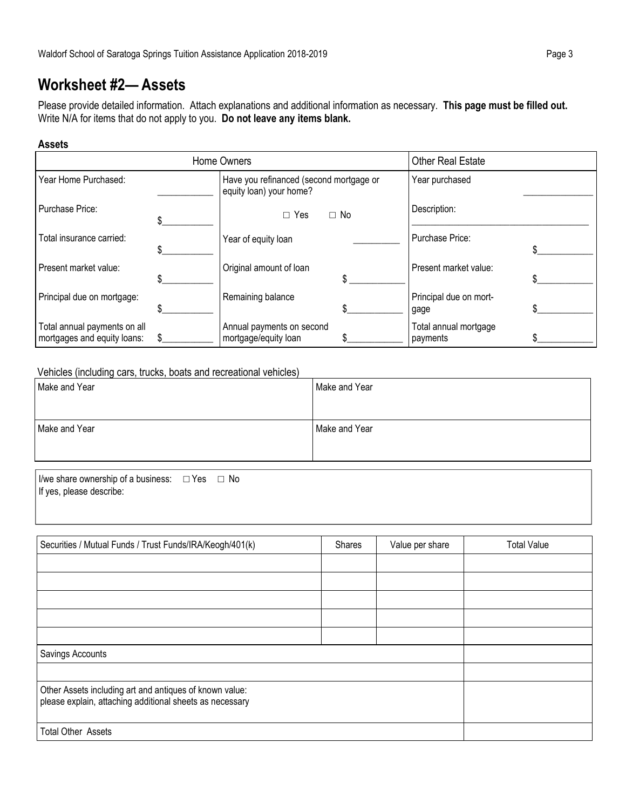## Worksheet #2— Assets

Please provide detailed information. Attach explanations and additional information as necessary. This page must be filled out. Write N/A for items that do not apply to you. Do not leave any items blank.

#### Assets

| Home Owners                                                 |  |                                                                    |  | <b>Other Real Estate</b>          |  |
|-------------------------------------------------------------|--|--------------------------------------------------------------------|--|-----------------------------------|--|
| Year Home Purchased:                                        |  | Have you refinanced (second mortgage or<br>equity loan) your home? |  | Year purchased                    |  |
| Purchase Price:                                             |  | $\Box$ No<br>$\Box$ Yes                                            |  | Description:                      |  |
| Total insurance carried:                                    |  | Year of equity loan                                                |  | Purchase Price:                   |  |
| Present market value:                                       |  | Original amount of loan                                            |  | Present market value:             |  |
| Principal due on mortgage:                                  |  | Remaining balance                                                  |  | Principal due on mort-<br>gage    |  |
| Total annual payments on all<br>mortgages and equity loans: |  | Annual payments on second<br>mortgage/equity loan                  |  | Total annual mortgage<br>payments |  |

### Vehicles (including cars, trucks, boats and recreational vehicles)

| Make and Year | Make and Year |
|---------------|---------------|
| Make and Year | Make and Year |

I/we share ownership of a business: □ Yes □ No If yes, please describe:

| Securities / Mutual Funds / Trust Funds/IRA/Keogh/401(k)                                                            | Shares | Value per share | <b>Total Value</b> |
|---------------------------------------------------------------------------------------------------------------------|--------|-----------------|--------------------|
|                                                                                                                     |        |                 |                    |
|                                                                                                                     |        |                 |                    |
|                                                                                                                     |        |                 |                    |
|                                                                                                                     |        |                 |                    |
|                                                                                                                     |        |                 |                    |
| Savings Accounts                                                                                                    |        |                 |                    |
|                                                                                                                     |        |                 |                    |
| Other Assets including art and antiques of known value:<br>please explain, attaching additional sheets as necessary |        |                 |                    |
| <b>Total Other Assets</b>                                                                                           |        |                 |                    |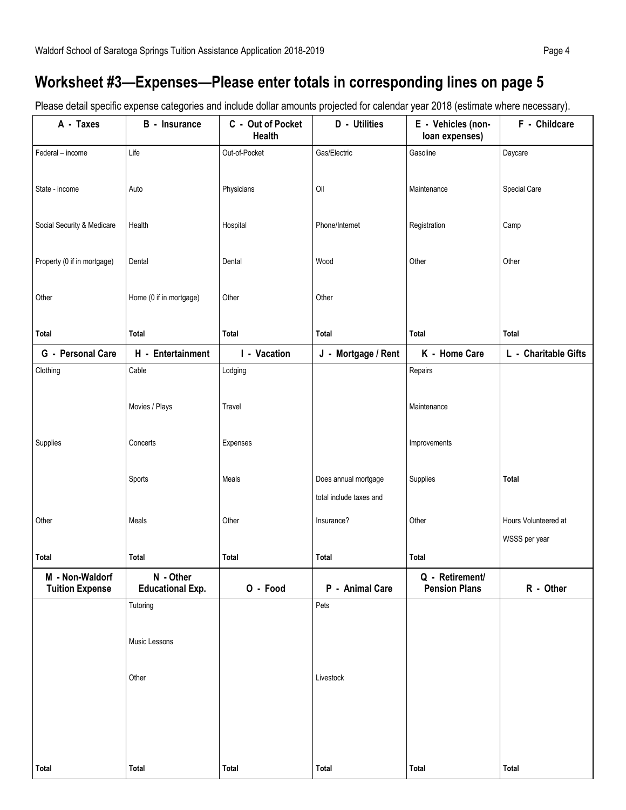# Worksheet #3—Expenses—Please enter totals in corresponding lines on page 5

Please detail specific expense categories and include dollar amounts projected for calendar year 2018 (estimate where necessary).

| A - Taxes                                 | <b>B</b> - Insurance                 | C - Out of Pocket<br><b>Health</b> | D - Utilities                                   | E - Vehicles (non-<br>loan expenses)    | F - Childcare                         |  |
|-------------------------------------------|--------------------------------------|------------------------------------|-------------------------------------------------|-----------------------------------------|---------------------------------------|--|
| Federal - income                          | Life                                 | Out-of-Pocket                      | Gas/Electric                                    | Gasoline                                | Daycare                               |  |
| State - income                            | Auto                                 | Physicians                         | Oil                                             | Maintenance                             | Special Care                          |  |
| Social Security & Medicare                | Health                               | Hospital                           | Phone/Internet                                  | Registration                            | Camp                                  |  |
| Property (0 if in mortgage)               | Dental                               | Dental                             | Wood                                            | Other                                   | Other                                 |  |
| Other                                     | Home (0 if in mortgage)              | Other                              | Other                                           |                                         |                                       |  |
| <b>Total</b>                              | Total                                | Total                              | Total                                           | <b>Total</b>                            | Total                                 |  |
| G - Personal Care                         | H - Entertainment                    | I - Vacation                       | J - Mortgage / Rent                             | K - Home Care                           | L - Charitable Gifts                  |  |
| Clothing                                  | Cable<br>Movies / Plays              | Lodging<br>Travel                  |                                                 | Repairs<br>Maintenance                  |                                       |  |
| Supplies                                  | Concerts                             | Expenses                           |                                                 | Improvements                            |                                       |  |
|                                           | Sports                               | Meals                              | Does annual mortgage<br>total include taxes and | Supplies                                | Total                                 |  |
| Other                                     | Meals                                | Other                              | Insurance?                                      | Other                                   | Hours Volunteered at<br>WSSS per year |  |
| <b>Total</b>                              | Total                                | <b>Total</b>                       | Total                                           | <b>Total</b>                            |                                       |  |
| M - Non-Waldorf<br><b>Tuition Expense</b> | N - Other<br><b>Educational Exp.</b> | O - Food                           | P - Animal Care                                 | Q - Retirement/<br><b>Pension Plans</b> | R - Other                             |  |
|                                           | Tutoring                             |                                    | Pets                                            |                                         |                                       |  |
|                                           | Music Lessons                        |                                    |                                                 |                                         |                                       |  |
|                                           | Other                                |                                    | Livestock                                       |                                         |                                       |  |
|                                           |                                      |                                    |                                                 |                                         |                                       |  |
| Total                                     | Total                                | Total                              | Total                                           | Total                                   | Total                                 |  |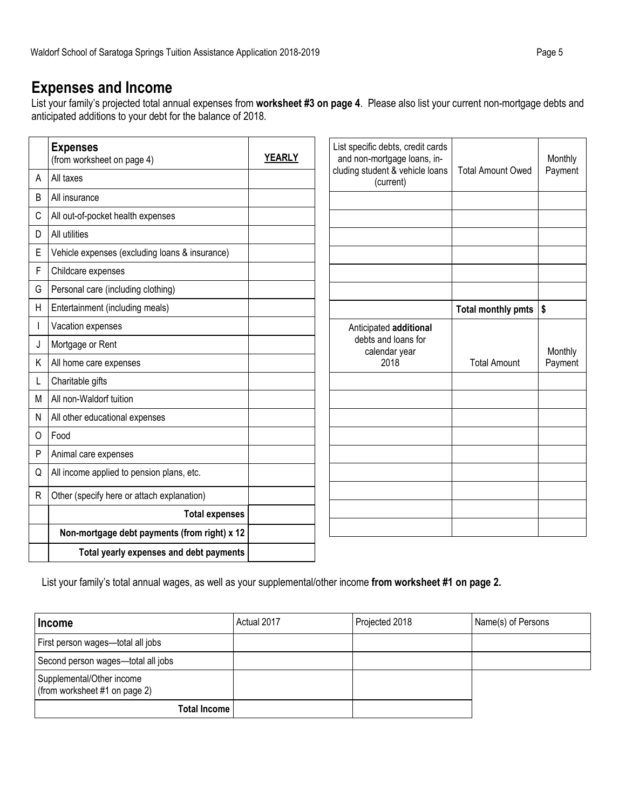## Expenses and Income

List your family's projected total annual expenses from worksheet #3 on page 4. Please also list your current non-mortgage debts and anticipated additions to your debt for the balance of 2018.

|              | <b>Expenses</b><br>(from worksheet on page 4)  | <b>YEARLY</b> | List specific debts, credit cards<br>and non-mortgage loans, in- |                          | Monthly |
|--------------|------------------------------------------------|---------------|------------------------------------------------------------------|--------------------------|---------|
| A            | All taxes                                      |               | cluding student & vehicle loans<br>(current)                     | <b>Total Amount Owed</b> | Payment |
| B            | All insurance                                  |               |                                                                  |                          |         |
| C            | All out-of-pocket health expenses              |               |                                                                  |                          |         |
| D            | All utilities                                  |               |                                                                  |                          |         |
| E            | Vehicle expenses (excluding loans & insurance) |               |                                                                  |                          |         |
| F            | Childcare expenses                             |               |                                                                  |                          |         |
| G            | Personal care (including clothing)             |               |                                                                  |                          |         |
| $\mathsf{H}$ | Entertainment (including meals)                |               |                                                                  | Total monthly pmts       | \$      |
|              | Vacation expenses                              |               | Anticipated additional                                           |                          |         |
| J            | Mortgage or Rent                               |               | debts and loans for<br>calendar year                             |                          | Monthly |
| Κ            | All home care expenses                         |               | 2018                                                             | <b>Total Amount</b>      | Payment |
| L            | Charitable gifts                               |               |                                                                  |                          |         |
| M            | All non-Waldorf tuition                        |               |                                                                  |                          |         |
| $\mathsf{N}$ | All other educational expenses                 |               |                                                                  |                          |         |
| O            | Food                                           |               |                                                                  |                          |         |
| P            | Animal care expenses                           |               |                                                                  |                          |         |
| Q            | All income applied to pension plans, etc.      |               |                                                                  |                          |         |
| $\mathsf{R}$ | Other (specify here or attach explanation)     |               |                                                                  |                          |         |
|              | <b>Total expenses</b>                          |               |                                                                  |                          |         |
|              | Non-mortgage debt payments (from right) x 12   |               |                                                                  |                          |         |
|              | Total yearly expenses and debt payments        |               |                                                                  |                          |         |

List your family's total annual wages, as well as your supplemental/other income from worksheet #1 on page 2.

| Income                                                     | Actual 2017 | Projected 2018 | Name(s) of Persons |
|------------------------------------------------------------|-------------|----------------|--------------------|
| First person wages-total all jobs                          |             |                |                    |
| Second person wages-total all jobs                         |             |                |                    |
| Supplemental/Other income<br>(from worksheet #1 on page 2) |             |                |                    |
| <b>Total Income</b>                                        |             |                |                    |